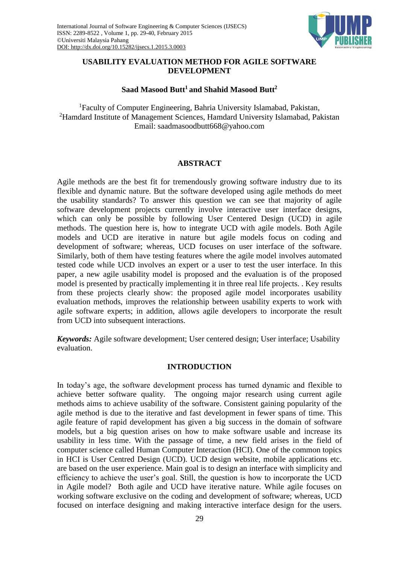

# **USABILITY EVALUATION METHOD FOR AGILE SOFTWARE DEVELOPMENT**

# **Saad Masood Butt<sup>1</sup> and Shahid Masood Butt<sup>2</sup>**

<sup>1</sup>Faculty of Computer Engineering, Bahria University Islamabad, Pakistan, <sup>2</sup>Hamdard Institute of Management Sciences, Hamdard University Islamabad, Pakistan Email: saadmasoodbutt668@yahoo.com

## **ABSTRACT**

Agile methods are the best fit for tremendously growing software industry due to its flexible and dynamic nature. But the software developed using agile methods do meet the usability standards? To answer this question we can see that majority of agile software development projects currently involve interactive user interface designs, which can only be possible by following User Centered Design (UCD) in agile methods. The question here is, how to integrate UCD with agile models. Both Agile models and UCD are iterative in nature but agile models focus on coding and development of software; whereas, UCD focuses on user interface of the software. Similarly, both of them have testing features where the agile model involves automated tested code while UCD involves an expert or a user to test the user interface. In this paper, a new agile usability model is proposed and the evaluation is of the proposed model is presented by practically implementing it in three real life projects. . Key results from these projects clearly show: the proposed agile model incorporates usability evaluation methods, improves the relationship between usability experts to work with agile software experts; in addition, allows agile developers to incorporate the result from UCD into subsequent interactions.

*Keywords:* Agile software development; User centered design; User interface; Usability evaluation.

#### **INTRODUCTION**

In today's age, the software development process has turned dynamic and flexible to achieve better software quality. The ongoing major research using current agile methods aims to achieve usability of the software. Consistent gaining popularity of the agile method is due to the iterative and fast development in fewer spans of time. This agile feature of rapid development has given a big success in the domain of software models, but a big question arises on how to make software usable and increase its usability in less time. With the passage of time, a new field arises in the field of computer science called Human Computer Interaction (HCI). One of the common topics in HCI is User Centred Design (UCD). UCD design website, mobile applications etc. are based on the user experience. Main goal is to design an interface with simplicity and efficiency to achieve the user's goal. Still, the question is how to incorporate the UCD in Agile model? Both agile and UCD have iterative nature. While agile focuses on working software exclusive on the coding and development of software; whereas, UCD focused on interface designing and making interactive interface design for the users.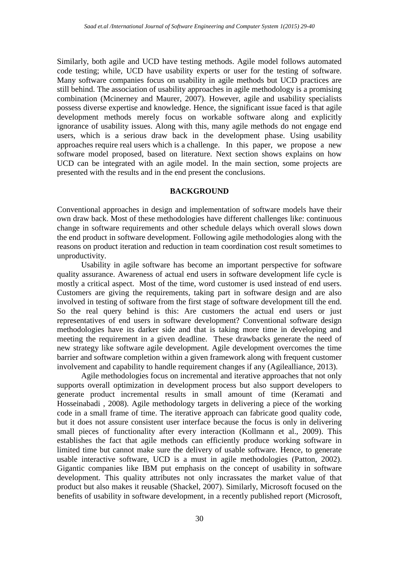Similarly, both agile and UCD have testing methods. Agile model follows automated code testing; while, UCD have usability experts or user for the testing of software. Many software companies focus on usability in agile methods but UCD practices are still behind. The association of usability approaches in agile methodology is a promising combination (Mcinerney and Maurer, 2007). However, agile and usability specialists possess diverse expertise and knowledge. Hence, the significant issue faced is that agile development methods merely focus on workable software along and explicitly ignorance of usability issues. Along with this, many agile methods do not engage end users, which is a serious draw back in the development phase. Using usability approaches require real users which is a challenge. In this paper, we propose a new software model proposed, based on literature. Next section shows explains on how UCD can be integrated with an agile model. In the main section, some projects are presented with the results and in the end present the conclusions.

#### **BACKGROUND**

Conventional approaches in design and implementation of software models have their own draw back. Most of these methodologies have different challenges like: continuous change in software requirements and other schedule delays which overall slows down the end product in software development. Following agile methodologies along with the reasons on product iteration and reduction in team coordination cost result sometimes to unproductivity.

Usability in agile software has become an important perspective for software quality assurance. Awareness of actual end users in software development life cycle is mostly a critical aspect. Most of the time, word customer is used instead of end users. Customers are giving the requirements, taking part in software design and are also involved in testing of software from the first stage of software development till the end. So the real query behind is this: Are customers the actual end users or just representatives of end users in software development? Conventional software design methodologies have its darker side and that is taking more time in developing and meeting the requirement in a given deadline. These drawbacks generate the need of new strategy like software agile development. Agile development overcomes the time barrier and software completion within a given framework along with frequent customer involvement and capability to handle requirement changes if any (Agilealliance, 2013).

Agile methodologies focus on incremental and iterative approaches that not only supports overall optimization in development process but also support developers to generate product incremental results in small amount of time (Keramati and Hosseinabadi , 2008). Agile methodology targets in delivering a piece of the working code in a small frame of time. The iterative approach can fabricate good quality code, but it does not assure consistent user interface because the focus is only in delivering small pieces of functionality after every interaction (Kollmann et al., 2009). This establishes the fact that agile methods can efficiently produce working software in limited time but cannot make sure the delivery of usable software. Hence, to generate usable interactive software, UCD is a must in agile methodologies (Patton, 2002). Gigantic companies like IBM put emphasis on the concept of usability in software development. This quality attributes not only incrassates the market value of that product but also makes it reusable (Shackel, 2007). Similarly, Microsoft focused on the benefits of usability in software development, in a recently published report (Microsoft,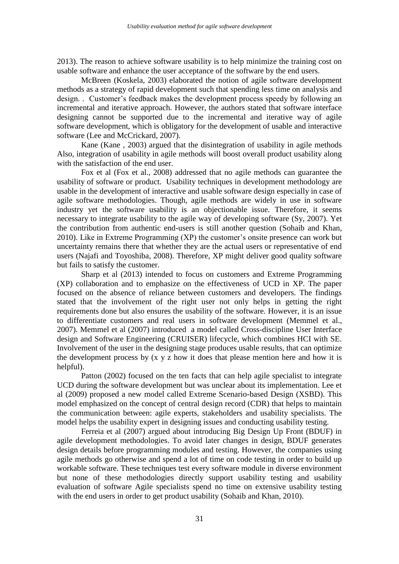2013). The reason to achieve software usability is to help minimize the training cost on usable software and enhance the user acceptance of the software by the end users.

McBreen (Koskela, 2003) elaborated the notion of agile software development methods as a strategy of rapid development such that spending less time on analysis and design. . Customer's feedback makes the development process speedy by following an incremental and iterative approach. However, the authors stated that software interface designing cannot be supported due to the incremental and iterative way of agile software development, which is obligatory for the development of usable and interactive software (Lee and McCrickard, 2007).

Kane (Kane , 2003) argued that the disintegration of usability in agile methods Also, integration of usability in agile methods will boost overall product usability along with the satisfaction of the end user.

Fox et al (Fox et al., 2008) addressed that no agile methods can guarantee the usability of software or product. Usability techniques in development methodology are usable in the development of interactive and usable software design especially in case of agile software methodologies. Though, agile methods are widely in use in software industry yet the software usability is an objectionable issue. Therefore, it seems necessary to integrate usability to the agile way of developing software (Sy, 2007). Yet the contribution from authentic end-users is still another question (Sohaib and Khan, 2010). Like in Extreme Programming (XP) the customer's onsite presence can work but uncertainty remains there that whether they are the actual users or representative of end users (Najafi and Toyoshiba, 2008). Therefore, XP might deliver good quality software but fails to satisfy the customer.

Sharp et al (2013) intended to focus on customers and Extreme Programming (XP) collaboration and to emphasize on the effectiveness of UCD in XP. The paper focused on the absence of reliance between customers and developers. The findings stated that the involvement of the right user not only helps in getting the right requirements done but also ensures the usability of the software. However, it is an issue to differentiate customers and real users in software development (Memmel et al., 2007). Memmel et al (2007) introduced a model called Cross-discipline User Interface design and Software Engineering (CRUISER) lifecycle, which combines HCI with SE. Involvement of the user in the designing stage produces usable results, that can optimize the development process by (x y z how it does that please mention here and how it is helpful).

Patton (2002) focused on the ten facts that can help agile specialist to integrate UCD during the software development but was unclear about its implementation. Lee et al (2009) proposed a new model called Extreme Scenario-based Design (XSBD). This model emphasized on the concept of central design record (CDR) that helps to maintain the communication between: agile experts, stakeholders and usability specialists. The model helps the usability expert in designing issues and conducting usability testing.

Ferreia et al (2007) argued about introducing Big Design Up Front (BDUF) in agile development methodologies. To avoid later changes in design, BDUF generates design details before programming modules and testing. However, the companies using agile methods go otherwise and spend a lot of time on code testing in order to build up workable software. These techniques test every software module in diverse environment but none of these methodologies directly support usability testing and usability evaluation of software Agile specialists spend no time on extensive usability testing with the end users in order to get product usability (Sohaib and Khan, 2010).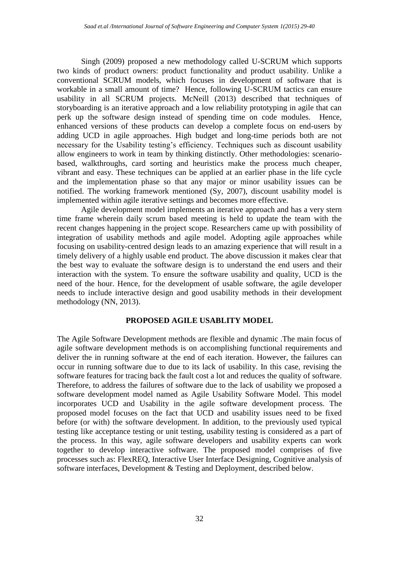Singh (2009) proposed a new methodology called U-SCRUM which supports two kinds of product owners: product functionality and product usability. Unlike a conventional SCRUM models, which focuses in development of software that is workable in a small amount of time? Hence, following U-SCRUM tactics can ensure usability in all SCRUM projects. McNeill (2013) described that techniques of storyboarding is an iterative approach and a low reliability prototyping in agile that can perk up the software design instead of spending time on code modules. Hence, enhanced versions of these products can develop a complete focus on end-users by adding UCD in agile approaches. High budget and long-time periods both are not necessary for the Usability testing's efficiency. Techniques such as discount usability allow engineers to work in team by thinking distinctly. Other methodologies: scenariobased, walkthroughs, card sorting and heuristics make the process much cheaper, vibrant and easy. These techniques can be applied at an earlier phase in the life cycle and the implementation phase so that any major or minor usability issues can be notified. The working framework mentioned (Sy, 2007), discount usability model is implemented within agile iterative settings and becomes more effective.

Agile development model implements an iterative approach and has a very stern time frame wherein daily scrum based meeting is held to update the team with the recent changes happening in the project scope. Researchers came up with possibility of integration of usability methods and agile model. Adopting agile approaches while focusing on usability-centred design leads to an amazing experience that will result in a timely delivery of a highly usable end product. The above discussion it makes clear that the best way to evaluate the software design is to understand the end users and their interaction with the system. To ensure the software usability and quality, UCD is the need of the hour. Hence, for the development of usable software, the agile developer needs to include interactive design and good usability methods in their development methodology (NN, 2013).

#### **PROPOSED AGILE USABLITY MODEL**

The Agile Software Development methods are flexible and dynamic .The main focus of agile software development methods is on accomplishing functional requirements and deliver the in running software at the end of each iteration. However, the failures can occur in running software due to due to its lack of usability. In this case, revising the software features for tracing back the fault cost a lot and reduces the quality of software. Therefore, to address the failures of software due to the lack of usability we proposed a software development model named as Agile Usability Software Model. This model incorporates UCD and Usability in the agile software development process. The proposed model focuses on the fact that UCD and usability issues need to be fixed before (or with) the software development. In addition, to the previously used typical testing like acceptance testing or unit testing, usability testing is considered as a part of the process. In this way, agile software developers and usability experts can work together to develop interactive software. The proposed model comprises of five processes such as: FlexREQ, Interactive User Interface Designing, Cognitive analysis of software interfaces, Development & Testing and Deployment, described below.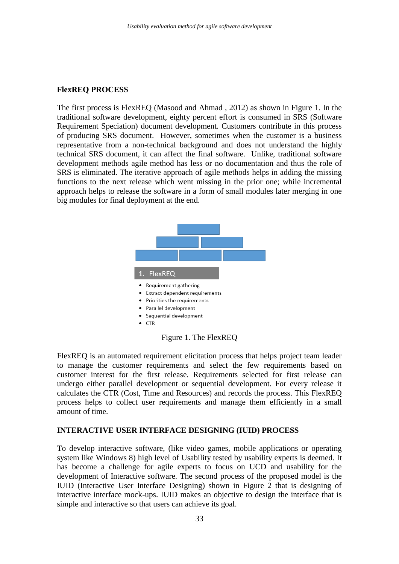### **FlexREQ PROCESS**

The first process is FlexREQ (Masood and Ahmad , 2012) as shown in Figure 1. In the traditional software development, eighty percent effort is consumed in SRS (Software Requirement Speciation) document development. Customers contribute in this process of producing SRS document. However, sometimes when the customer is a business representative from a non-technical background and does not understand the highly technical SRS document, it can affect the final software. Unlike, traditional software development methods agile method has less or no documentation and thus the role of SRS is eliminated. The iterative approach of agile methods helps in adding the missing functions to the next release which went missing in the prior one; while incremental approach helps to release the software in a form of small modules later merging in one big modules for final deployment at the end.



FlexREQ is an automated requirement elicitation process that helps project team leader to manage the customer requirements and select the few requirements based on customer interest for the first release. Requirements selected for first release can undergo either parallel development or sequential development. For every release it calculates the CTR (Cost, Time and Resources) and records the process. This FlexREQ process helps to collect user requirements and manage them efficiently in a small amount of time.

## **INTERACTIVE USER INTERFACE DESIGNING (IUID) PROCESS**

To develop interactive software, (like video games, mobile applications or operating system like Windows 8) high level of Usability tested by usability experts is deemed. It has become a challenge for agile experts to focus on UCD and usability for the development of Interactive software. The second process of the proposed model is the IUID (Interactive User Interface Designing) shown in Figure 2 that is designing of interactive interface mock-ups. IUID makes an objective to design the interface that is simple and interactive so that users can achieve its goal.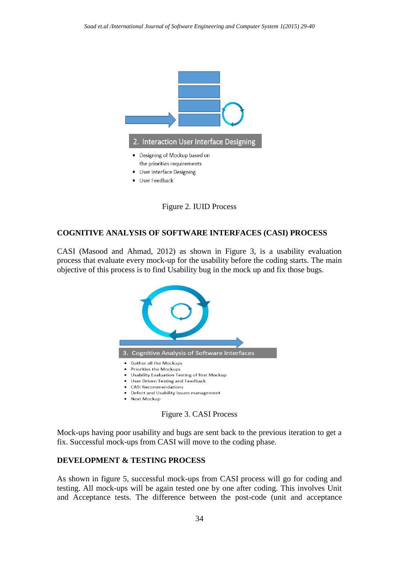



#### **COGNITIVE ANALYSIS OF SOFTWARE INTERFACES (CASI) PROCESS**

CASI (Masood and Ahmad, 2012) as shown in Figure 3, is a usability evaluation process that evaluate every mock-up for the usability before the coding starts. The main objective of this process is to find Usability bug in the mock up and fix those bugs.



Figure 3. CASI Process

Mock-ups having poor usability and bugs are sent back to the previous iteration to get a fix. Successful mock-ups from CASI will move to the coding phase.

## **DEVELOPMENT & TESTING PROCESS**

As shown in figure 5, successful mock-ups from CASI process will go for coding and testing. All mock-ups will be again tested one by one after coding. This involves Unit and Acceptance tests. The difference between the post-code (unit and acceptance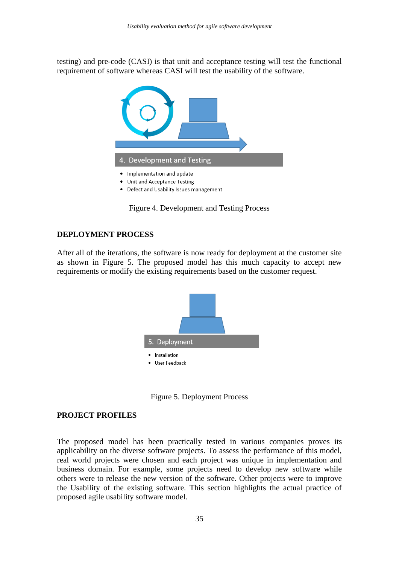testing) and pre-code (CASI) is that unit and acceptance testing will test the functional requirement of software whereas CASI will test the usability of the software.



• Defect and Usability Issues management

Figure 4. Development and Testing Process

### **DEPLOYMENT PROCESS**

After all of the iterations, the software is now ready for deployment at the customer site as shown in Figure 5. The proposed model has this much capacity to accept new requirements or modify the existing requirements based on the customer request.



Figure 5. Deployment Process

### **PROJECT PROFILES**

The proposed model has been practically tested in various companies proves its applicability on the diverse software projects. To assess the performance of this model, real world projects were chosen and each project was unique in implementation and business domain. For example, some projects need to develop new software while others were to release the new version of the software. Other projects were to improve the Usability of the existing software. This section highlights the actual practice of proposed agile usability software model.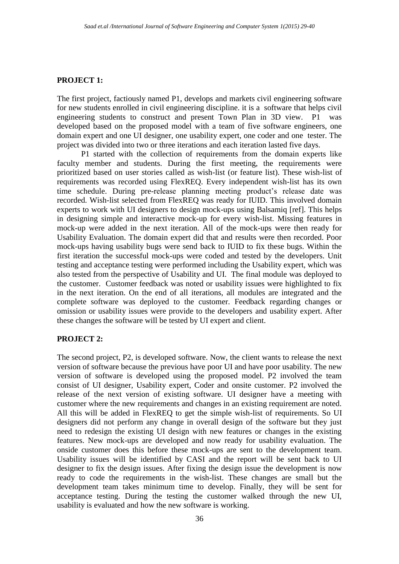#### **PROJECT 1:**

The first project, factiously named P1, develops and markets civil engineering software for new students enrolled in civil engineering discipline. it is a software that helps civil engineering students to construct and present Town Plan in 3D view. P1 was developed based on the proposed model with a team of five software engineers, one domain expert and one UI designer, one usability expert, one coder and one tester. The project was divided into two or three iterations and each iteration lasted five days.

P1 started with the collection of requirements from the domain experts like faculty member and students. During the first meeting, the requirements were prioritized based on user stories called as wish-list (or feature list). These wish-list of requirements was recorded using FlexREQ. Every independent wish-list has its own time schedule. During pre-release planning meeting product's release date was recorded. Wish-list selected from FlexREQ was ready for IUID. This involved domain experts to work with UI designers to design mock-ups using [Balsamiq \[ref\]. This helps](http://balsamiq.com/products/mockups)  [in designing simple and interactive mock-up for every wish-list. Missing features in](http://balsamiq.com/products/mockups)  [mock-up were added in the next iteration. All of the mock-ups were then ready for](http://balsamiq.com/products/mockups)  [Usability Evaluation. The domain expert did that and results were then recorded. Poor](http://balsamiq.com/products/mockups)  [mock-ups having usability bugs were send back to IUID to fix these bugs. Within the](http://balsamiq.com/products/mockups)  [first iteration the successful mock-ups were coded and tested by the developers. Unit](http://balsamiq.com/products/mockups)  [testing and acceptance testing were performed including the Usability expert, which was](http://balsamiq.com/products/mockups)  [also tested from the perspective of Usability and UI. The final module](http://balsamiq.com/products/mockups) was deployed to [the customer. Customer feedback was noted or usability issues were highlighted to fix](http://balsamiq.com/products/mockups)  [in the next iteration. On the end of all iterations, all modules are integrated and the](http://balsamiq.com/products/mockups)  [complete software was deployed to the customer.](http://balsamiq.com/products/mockups) Feedback regarding changes or [omission or usability issues were provide to the developers and usability expert. After](http://balsamiq.com/products/mockups)  [these changes the software will be tested by UI expert and client.](http://balsamiq.com/products/mockups)

#### **PROJECT 2:**

The second project, P2, is developed software. Now, the client wants to release the next version of software because the previous have poor UI and have poor usability. The new version of software is developed using the proposed model. P2 involved the team consist of UI designer, Usability expert, Coder and onsite customer. P2 involved the release of the next version of existing software. UI designer have a meeting with customer where the new requirements and changes in an existing requirement are noted. All this will be added in FlexREQ to get the simple wish-list of requirements. So UI designers did not perform any change in overall design of the software but they just need to redesign the existing UI design with new features or changes in the existing features. New mock-ups are developed and now ready for usability evaluation. The onside customer does this before these mock-ups are sent to the development team. Usability issues will be identified by CASI and the report will be sent back to UI designer to fix the design issues. After fixing the design issue the development is now ready to code the requirements in the wish-list. These changes are small but the development team takes minimum time to develop. Finally, they will be sent for acceptance testing. During the testing the customer walked through the new UI, usability is evaluated and how the new software is working.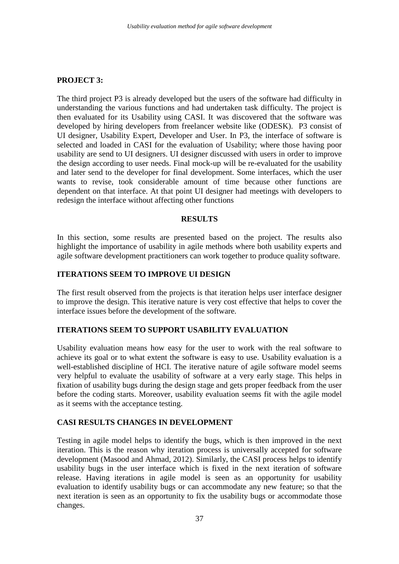# **PROJECT 3:**

The third project P3 is already developed but the users of the software had difficulty in understanding the various functions and had undertaken task difficulty. The project is then evaluated for its Usability using CASI. It was discovered that the software was developed by hiring developers from freelancer website like (ODESK). P3 consist of UI designer, Usability Expert, Developer and User. In P3, the interface of software is selected and loaded in CASI for the evaluation of Usability; where those having poor usability are send to UI designers. UI designer discussed with users in order to improve the design according to user needs. Final mock-up will be re-evaluated for the usability and later send to the developer for final development. Some interfaces, which the user wants to revise, took considerable amount of time because other functions are dependent on that interface. At that point UI designer had meetings with developers to redesign the interface without affecting other functions

# **RESULTS**

In this section, some results are presented based on the project. The results also highlight the importance of usability in agile methods where both usability experts and agile software development practitioners can work together to produce quality software.

# **ITERATIONS SEEM TO IMPROVE UI DESIGN**

The first result observed from the projects is that iteration helps user interface designer to improve the design. This iterative nature is very cost effective that helps to cover the interface issues before the development of the software.

## **ITERATIONS SEEM TO SUPPORT USABILITY EVALUATION**

Usability evaluation means how easy for the user to work with the real software to achieve its goal or to what extent the software is easy to use. Usability evaluation is a well-established discipline of HCI. The iterative nature of agile software model seems very helpful to evaluate the usability of software at a very early stage. This helps in fixation of usability bugs during the design stage and gets proper feedback from the user before the coding starts. Moreover, usability evaluation seems fit with the agile model as it seems with the acceptance testing.

## **CASI RESULTS CHANGES IN DEVELOPMENT**

Testing in agile model helps to identify the bugs, which is then improved in the next iteration. This is the reason why iteration process is universally accepted for software development (Masood and Ahmad, 2012). Similarly, the CASI process helps to identify usability bugs in the user interface which is fixed in the next iteration of software release. Having iterations in agile model is seen as an opportunity for usability evaluation to identify usability bugs or can accommodate any new feature; so that the next iteration is seen as an opportunity to fix the usability bugs or accommodate those changes.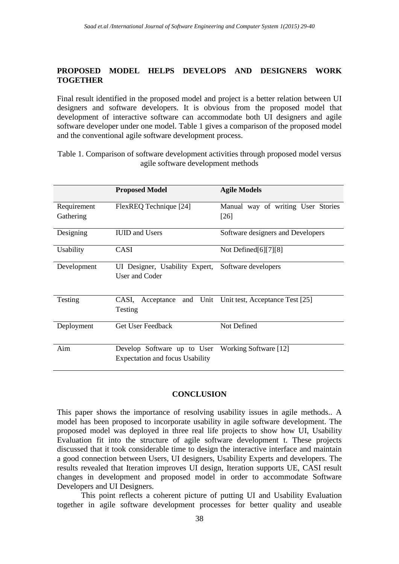# **PROPOSED MODEL HELPS DEVELOPS AND DESIGNERS WORK TOGETHER**

Final result identified in the proposed model and project is a better relation between UI designers and software developers. It is obvious from the proposed model that development of interactive software can accommodate both UI designers and agile software developer under one model. Table 1 gives a comparison of the proposed model and the conventional agile software development process.

Table 1. Comparison of software development activities through proposed model versus agile software development methods

|             | <b>Proposed Model</b>                                                 | <b>Agile Models</b>                      |
|-------------|-----------------------------------------------------------------------|------------------------------------------|
| Requirement | FlexREQ Technique [24]                                                | Manual way of writing User Stories       |
| Gathering   |                                                                       | $[26]$                                   |
| Designing   | <b>IUID</b> and Users                                                 | Software designers and Developers        |
| Usability   | <b>CASI</b>                                                           | Not Defined $[6][7][8]$                  |
| Development | UI Designer, Usability Expert,<br>User and Coder                      | Software developers                      |
| Testing     | CASI,<br>Acceptance<br>Testing                                        | and Unit Unit test, Acceptance Test [25] |
| Deployment  | <b>Get User Feedback</b>                                              | Not Defined                              |
| Aim         | Develop Software up to User<br><b>Expectation and focus Usability</b> | Working Software [12]                    |

#### **CONCLUSION**

This paper shows the importance of resolving usability issues in agile methods.. A model has been proposed to incorporate usability in agile software development. The proposed model was deployed in three real life projects to show how UI, Usability Evaluation fit into the structure of agile software development t. These projects discussed that it took considerable time to design the interactive interface and maintain a good connection between Users, UI designers, Usability Experts and developers. The results revealed that Iteration improves UI design, Iteration supports UE, CASI result changes in development and proposed model in order to accommodate Software Developers and UI Designers.

This point reflects a coherent picture of putting UI and Usability Evaluation together in agile software development processes for better quality and useable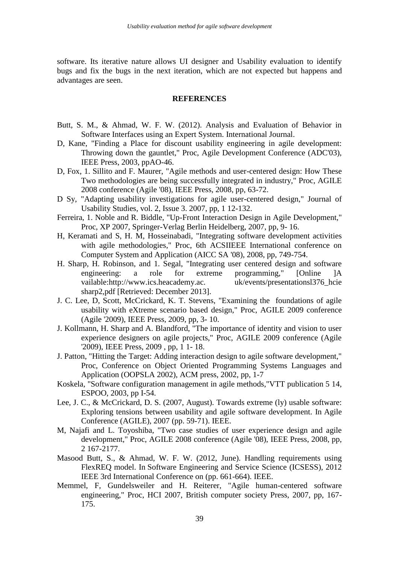software. Its iterative nature allows UI designer and Usability evaluation to identify bugs and fix the bugs in the next iteration, which are not expected but happens and advantages are seen.

#### **REFERENCES**

- Butt, S. M., & Ahmad, W. F. W. (2012). Analysis and Evaluation of Behavior in Software Interfaces using an Expert System. International Journal.
- D, Kane, "Finding a Place for discount usability engineering in agile development: Throwing down the gauntlet," Proc, Agile Development Conference (ADC'03), IEEE Press, 2003, ppAO-46.
- D, Fox, 1. Sillito and F. Maurer, "Agile methods and user-centered design: How These Two methodologies are being successfully integrated in industry," Proc, AGILE 2008 conference (Agile '08), IEEE Press, 2008, pp, 63-72.
- D Sy, "Adapting usability investigations for agile user-centered design," Journal of Usability Studies, vol. 2, Issue 3. 2007, pp, 1 12-132.
- Ferreira, 1. Noble and R. Biddle, "Up-Front Interaction Design in Agile Development," Proc, XP 2007, Springer-Verlag Berlin Heidelberg, 2007, pp, 9- 16.
- H, Keramati and S, H. M, Hosseinabadi, "Integrating software development activities with agile methodologies," Proc, 6th ACSIIEEE International conference on Computer System and Application (AICC SA '08), 2008, pp, 749-754.
- H. Sharp, H. Robinson, and 1. Segal, "Integrating user centered design and software engineering: a role for extreme programming," [Online ]A vailable:http://www.ics.heacademy.ac. uk/events/presentationsl376 hcie sharp2,pdf [Retrieved: December 2013].
- J. C. Lee, D, Scott, McCrickard, K. T. Stevens, "Examining the foundations of agile usability with eXtreme scenario based design," Proc, AGILE 2009 conference (Agile '2009), IEEE Press, 2009, pp, 3- 10.
- J. Kollmann, H. Sharp and A. Blandford, "The importance of identity and vision to user experience designers on agile projects," Proc, AGILE 2009 conference (Agile '2009), IEEE Press, 2009 , pp, 1 1- 18.
- J. Patton, "Hitting the Target: Adding interaction design to agile software development," Proc, Conference on Object Oriented Programming Systems Languages and Application (OOPSLA 2002), ACM press, 2002, pp, 1-7
- Koskela, "Software configuration management in agile methods,"VTT publication 5 14, ESPOO, 2003, pp I-54.
- Lee, J. C., & McCrickard, D. S. (2007, August). Towards extreme (ly) usable software: Exploring tensions between usability and agile software development. In Agile Conference (AGILE), 2007 (pp. 59-71). IEEE.
- M, Najafi and L. Toyoshiba, "Two case studies of user experience design and agile development," Proc, AGILE 2008 conference (Agile '08), IEEE Press, 2008, pp, 2 167-2177.
- Masood Butt, S., & Ahmad, W. F. W. (2012, June). Handling requirements using FlexREQ model. In Software Engineering and Service Science (ICSESS), 2012 IEEE 3rd International Conference on (pp. 661-664). IEEE.
- Memmel, F, Gundelsweiler and H. Reiterer, "Agile human-centered software engineering," Proc, HCI 2007, British computer society Press, 2007, pp, 167- 175.